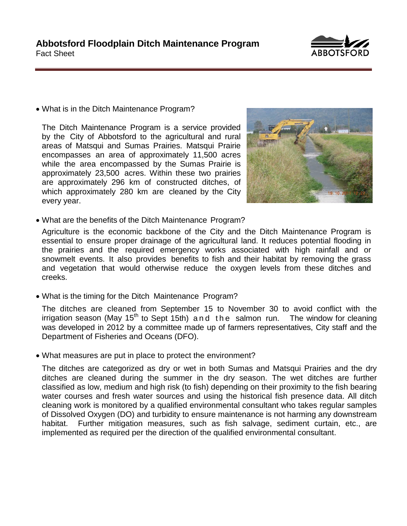

• What is in the Ditch Maintenance Program?

The Ditch Maintenance Program is a service provided by the City of Abbotsford to the agricultural and rural areas of Matsqui and Sumas Prairies. Matsqui Prairie encompasses an area of approximately 11,500 acres while the area encompassed by the Sumas Prairie is approximately 23,500 acres. Within these two prairies are approximately 296 km of constructed ditches, of which approximately 280 km are cleaned by the City every year.



• What are the benefits of the Ditch Maintenance Program?

Agriculture is the economic backbone of the City and the Ditch Maintenance Program is essential to ensure proper drainage of the agricultural land. It reduces potential flooding in the prairies and the required emergency works associated with high rainfall and or snowmelt events. It also provides benefits to fish and their habitat by removing the grass and vegetation that would otherwise reduce the oxygen levels from these ditches and creeks.

• What is the timing for the Ditch Maintenance Program?

The ditches are cleaned from September 15 to November 30 to avoid conflict with the irrigation season (May  $15<sup>th</sup>$  to Sept 15th) and the salmon run. The window for cleaning was developed in 2012 by a committee made up of farmers representatives, City staff and the Department of Fisheries and Oceans (DFO).

• What measures are put in place to protect the environment?

The ditches are categorized as dry or wet in both Sumas and Matsqui Prairies and the dry ditches are cleaned during the summer in the dry season. The wet ditches are further classified as low, medium and high risk (to fish) depending on their proximity to the fish bearing water courses and fresh water sources and using the historical fish presence data. All ditch cleaning work is monitored by a qualified environmental consultant who takes regular samples of Dissolved Oxygen (DO) and turbidity to ensure maintenance is not harming any downstream habitat. Further mitigation measures, such as fish salvage, sediment curtain, etc., are implemented as required per the direction of the qualified environmental consultant.